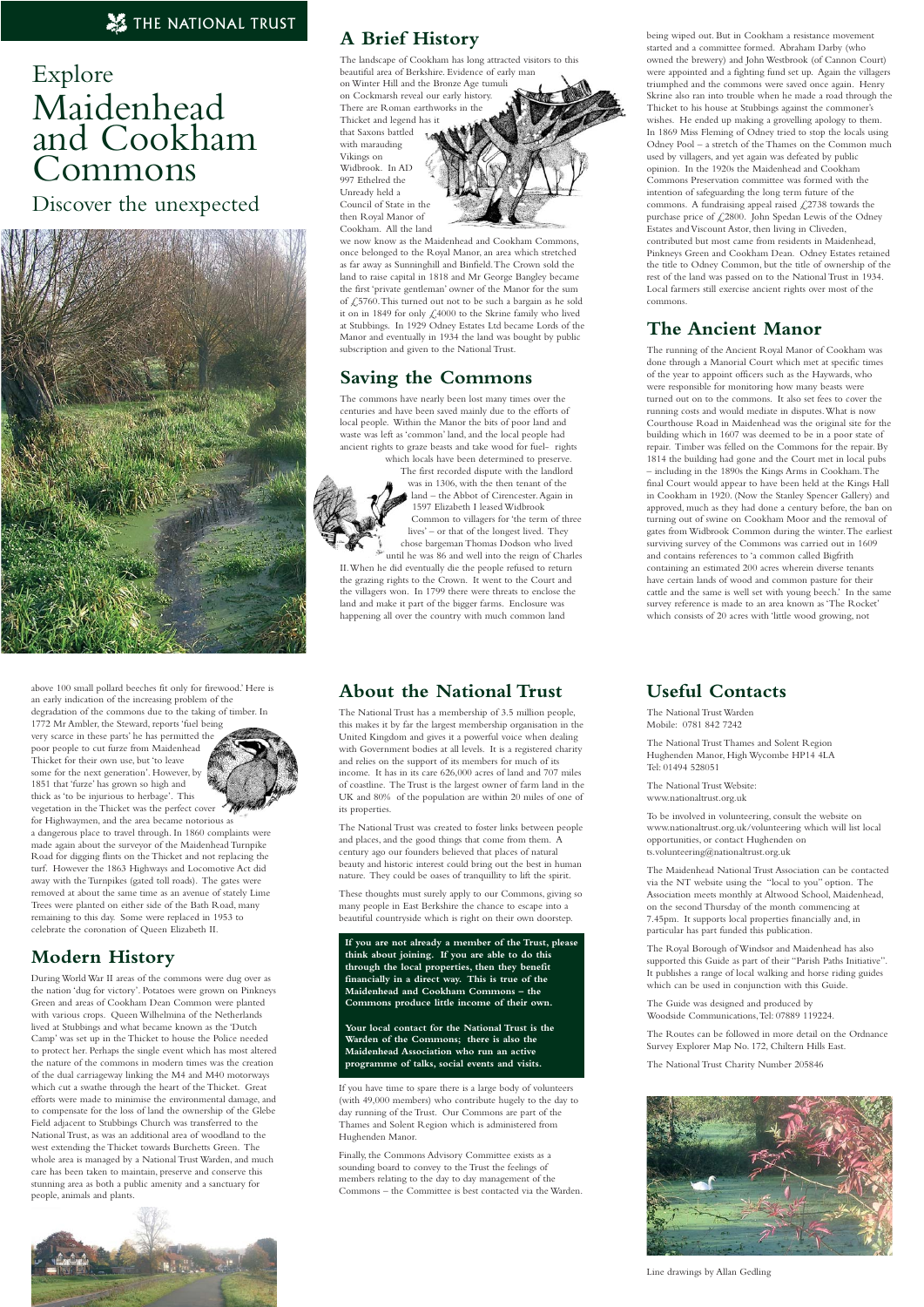# **A Brief History**

The landscape of Cookham has long attracted visitors to this beautiful area of Berkshire. Evidence of early man on Winter Hill and the Bronze Age tumuli on Cockmarsh reveal our early history. There are Roman earthworks in the Thicket and legend has it that Saxons battled with marauding Vikings on Widbrook. In AD 997 Ethelred the Unready held a Council of State in the then Royal Manor of Cookham. All the land

we now know as the Maidenhead and Cookham Commons, once belonged to the Royal Manor, an area which stretched as far away as Sunninghill and Binfield.The Crown sold the land to raise capital in 1818 and Mr George Bangley became the first 'private gentleman' owner of the Manor for the sum of £5760.This turned out not to be such a bargain as he sold it on in 1849 for only £4000 to the Skrine family who lived at Stubbings. In 1929 Odney Estates Ltd became Lords of the Manor and eventually in 1934 the land was bought by public subscription and given to the National Trust.

### **Saving the Commons**

The commons have nearly been lost many times over the centuries and have been saved mainly due to the efforts of local people. Within the Manor the bits of poor land and waste was left as 'common' land, and the local people had ancient rights to graze beasts and take wood for fuel- rights

which locals have been determined to preserve. The first recorded dispute with the landlord



was in 1306, with the then tenant of the land – the Abbot of Cirencester.Again in 1597 Elizabeth I leased Widbrook Common to villagers for 'the term of three lives' – or that of the longest lived. They chose bargeman Thomas Dodson who lived until he was 86 and well into the reign of Charles

II.When he did eventually die the people refused to return the grazing rights to the Crown. It went to the Court and the villagers won. In 1799 there were threats to enclose the land and make it part of the bigger farms. Enclosure was happening all over the country with much common land

1772 Mr Ambler, the Steward, reports 'fuel being very scarce in these parts' he has permitted the poor people to cut furze from Maidenhead Thicket for their own use, but 'to leave some for the next generation'. However, by 1851 that 'furze' has grown so high and thick as 'to be injurious to herbage'. This vegetation in the Thicket was the perfect cover being wiped out. But in Cookham a resistance movement started and a committee formed. Abraham Darby (who owned the brewery) and John Westbrook (of Cannon Court) were appointed and a fighting fund set up. Again the villagers triumphed and the commons were saved once again. Henry Skrine also ran into trouble when he made a road through the Thicket to his house at Stubbings against the commoner's wishes. He ended up making a grovelling apology to them. In 1869 Miss Fleming of Odney tried to stop the locals using Odney Pool – a stretch of the Thames on the Common much used by villagers, and yet again was defeated by public opinion. In the 1920s the Maidenhead and Cookham Commons Preservation committee was formed with the intention of safeguarding the long term future of the commons. A fundraising appeal raised  $\text{\emph{\textsterling}2738}$  towards the purchase price of £2800. John Spedan Lewis of the Odney Estates and Viscount Astor, then living in Cliveden, contributed but most came from residents in Maidenhead, Pinkneys Green and Cookham Dean. Odney Estates retained the title to Odney Common, but the title of ownership of the rest of the land was passed on to the National Trust in 1934. Local farmers still exercise ancient rights over most of the commons.

#### **The Ancient Manor**

The National Trust has a membership of 3.5 million people, this makes it by far the largest membership organisation in the United Kingdom and gives it a powerful voice when dealing with Government bodies at all levels. It is a registered charity and relies on the support of its members for much of its income. It has in its care 626,000 acres of land and 707 miles of coastline. The Trust is the largest owner of farm land in the UK and 80% of the population are within 20 miles of one of its properties.

The running of the Ancient Royal Manor of Cookham was done through a Manorial Court which met at specific times of the year to appoint officers such as the Haywards, who were responsible for monitoring how many beasts were turned out on to the commons. It also set fees to cover the running costs and would mediate in disputes.What is now Courthouse Road in Maidenhead was the original site for the building which in 1607 was deemed to be in a poor state of repair. Timber was felled on the Commons for the repair. By 1814 the building had gone and the Court met in local pubs – including in the 1890s the Kings Arms in Cookham.The final Court would appear to have been held at the Kings Hall in Cookham in 1920. (Now the Stanley Spencer Gallery) and approved, much as they had done a century before, the ban on turning out of swine on Cookham Moor and the removal of gates from Widbrook Common during the winter.The earliest surviving survey of the Commons was carried out in 1609 and contains references to 'a common called Bigfrith containing an estimated 200 acres wherein diverse tenants have certain lands of wood and common pasture for their cattle and the same is well set with young beech.' In the same survey reference is made to an area known as 'The Rocket' which consists of 20 acres with 'little wood growing, not

above 100 small pollard beeches fit only for firewood.' Here is an early indication of the increasing problem of the degradation of the commons due to the taking of timber. In

for Highwaymen, and the area became notorious as a dangerous place to travel through. In 1860 complaints were made again about the surveyor of the Maidenhead Turnpike Road for digging flints on the Thicket and not replacing the turf. However the 1863 Highways and Locomotive Act did away with the Turnpikes (gated toll roads). The gates were removed at about the same time as an avenue of stately Lime Trees were planted on either side of the Bath Road, many remaining to this day. Some were replaced in 1953 to celebrate the coronation of Queen Elizabeth II.

### **Modern History**

During World War II areas of the commons were dug over as the nation 'dug for victory'. Potatoes were grown on Pinkneys Green and areas of Cookham Dean Common were planted with various crops. Queen Wilhelmina of the Netherlands lived at Stubbings and what became known as the 'Dutch Camp' was set up in the Thicket to house the Police needed to protect her. Perhaps the single event which has most altered the nature of the commons in modern times was the creation of the dual carriageway linking the M4 and M40 motorways which cut a swathe through the heart of the Thicket. Great efforts were made to minimise the environmental damage, and to compensate for the loss of land the ownership of the Glebe Field adjacent to Stubbings Church was transferred to the National Trust, as was an additional area of woodland to the west extending the Thicket towards Burchetts Green. The whole area is managed by a National Trust Warden, and much care has been taken to maintain, preserve and conserve this stunning area as both a public amenity and a sanctuary for people, animals and plants.

# THE NATIONAL TRUST

# Explore Maidenhead and Cookham Commons

Discover the unexpected



### **About the National Trust**

The National Trust was created to foster links between people and places, and the good things that come from them. A century ago our founders believed that places of natural beauty and historic interest could bring out the best in human nature. They could be oases of tranquillity to lift the spirit.

These thoughts must surely apply to our Commons, giving so many people in East Berkshire the chance to escape into a beautiful countryside which is right on their own doorstep.

**If you are not already a member of the Trust, please think about joining. If you are able to do this through the local properties, then they benefit financially in a direct way. This is true of the**



**Your local contact for the National Trust is the Warden of the Commons; there is also the Maidenhead Association who run an active programme of talks, social events and visits.**

If you have time to spare there is a large body of volunteers (with 49,000 members) who contribute hugely to the day to day running of the Trust. Our Commons are part of the Thames and Solent Region which is administered from Hughenden Manor.

Finally, the Commons Advisory Committee exists as a sounding board to convey to the Trust the feelings of members relating to the day to day management of the Commons – the Committee is best contacted via the Warden.

### **Useful Contacts**

The National Trust Warden Mobile: 0781 842 7242

The National Trust Thames and Solent Region Hughenden Manor, High Wycombe HP14 4LA Tel: 01494 528051

The National Trust Website: www.nationaltrust.org.uk

To be involved in volunteering, consult the website on www.nationaltrust.org.uk/volunteering which will list local opportunities, or contact Hughenden on ts.volunteering@nationaltrust.org.uk

The Maidenhead National Trust Association can be contacted via the NT website using the "local to you" option. The Association meets monthly at Altwood School, Maidenhead, on the second Thursday of the month commencing at 7.45pm. It supports local properties financially and, in particular has part funded this publication.

The Royal Borough of Windsor and Maidenhead has also supported this Guide as part of their "Parish Paths Initiative". It publishes a range of local walking and horse riding guides which can be used in conjunction with this Guide.



The Guide was designed and produced by Woodside Communications,Tel: 07889 119224.

The Routes can be followed in more detail on the Ordnance Survey Explorer Map No. 172, Chiltern Hills East.

The National Trust Charity Number 205846



Line drawings by Allan Gedling